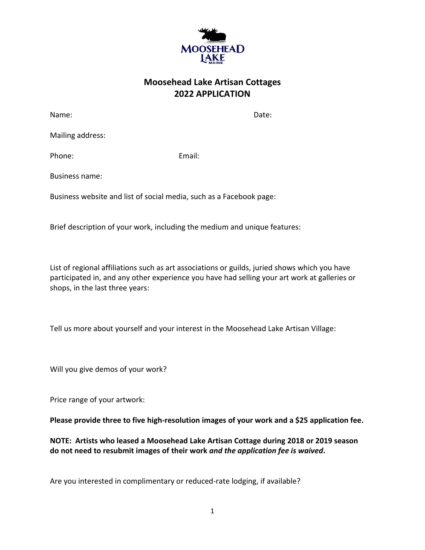

## **Moosehead Lake Artisan Cottages 2022 APPLICATION**

Name: **Name:** Date: **Name:** 2008. **Date:** 2008. **Date:** 2008. **Date:** 2008. **Date:** 2008. 2014. 2015. 2016. 2017. 2018. 2017. 2018. 2017. 2018. 2017. 2018. 2017. 2018. 2017. 2018. 2017. 2018. 2018. 2018. 2018. 2018. 2018.

Mailing address:

Phone: Email:

Business name:

Business website and list of social media, such as a Facebook page:

Brief description of your work, including the medium and unique features:

List of regional affiliations such as art associations or guilds, juried shows which you have participated in, and any other experience you have had selling your art work at galleries or shops, in the last three years:

Tell us more about yourself and your interest in the Moosehead Lake Artisan Village:

Will you give demos of your work?

Price range of your artwork:

**Please provide three to five high-resolution images of your work and a \$25 application fee.** 

**NOTE: Artists who leased a Moosehead Lake Artisan Cottage during 2018 or 2019 season do not need to resubmit images of their work** *and the application fee is waived***.**

Are you interested in complimentary or reduced-rate lodging, if available?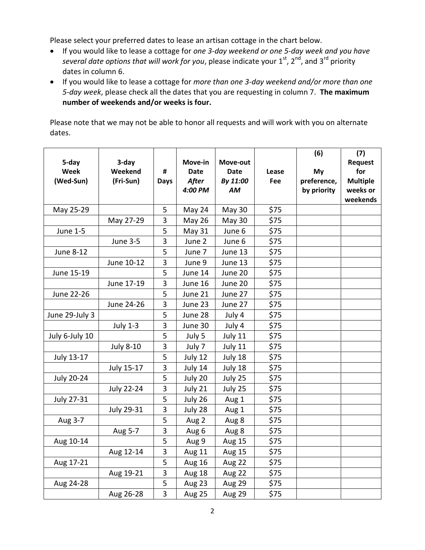Please select your preferred dates to lease an artisan cottage in the chart below.

- If you would like to lease a cottage for *one 3-day weekend or one 5-day week and you have*  several date options that will work for you, please indicate your 1<sup>st</sup>, 2<sup>nd</sup>, and 3<sup>rd</sup> priority dates in column 6.
- If you would like to lease a cottage for *more than one 3-day weekend and/or more than one 5-day week*, please check all the dates that you are requesting in column 7. **The maximum number of weekends and/or weeks is four.**

Please note that we may not be able to honor all requests and will work with you on alternate dates.

|                   |                   |             |               |             |       | (6)         | (7)             |
|-------------------|-------------------|-------------|---------------|-------------|-------|-------------|-----------------|
| 5-day             | 3-day             |             | Move-in       | Move-out    |       |             | <b>Request</b>  |
| Week              | Weekend           | #           | <b>Date</b>   | <b>Date</b> | Lease | My          | for             |
| (Wed-Sun)         | (Fri-Sun)         | <b>Days</b> | <b>After</b>  | By 11:00    | Fee   | preference, | <b>Multiple</b> |
|                   |                   |             | 4:00 PM       | AM          |       | by priority | weeks or        |
|                   |                   |             |               |             |       |             | weekends        |
| May 25-29         |                   | 5           | May 24        | May 30      | \$75  |             |                 |
|                   | May 27-29         | 3           | <b>May 26</b> | May 30      | \$75  |             |                 |
| <b>June 1-5</b>   |                   | 5           | May 31        | June 6      | \$75  |             |                 |
|                   | <b>June 3-5</b>   | 3           | June 2        | June 6      | \$75  |             |                 |
| <b>June 8-12</b>  |                   | 5           | June 7        | June 13     | \$75  |             |                 |
|                   | June 10-12        | 3           | June 9        | June 13     | \$75  |             |                 |
| June 15-19        |                   | 5           | June 14       | June 20     | \$75  |             |                 |
|                   | June 17-19        | 3           | June 16       | June 20     | \$75  |             |                 |
| June 22-26        |                   | 5           | June 21       | June 27     | \$75  |             |                 |
|                   | June 24-26        | 3           | June 23       | June 27     | \$75  |             |                 |
| June 29-July 3    |                   | 5           | June 28       | July 4      | \$75  |             |                 |
|                   | <b>July 1-3</b>   | 3           | June 30       | July 4      | \$75  |             |                 |
| July 6-July 10    |                   | 5           | July 5        | July 11     | \$75  |             |                 |
|                   | <b>July 8-10</b>  | 3           | July 7        | July 11     | \$75  |             |                 |
| July 13-17        |                   | 5           | July 12       | July 18     | \$75  |             |                 |
|                   | July 15-17        | 3           | July 14       | July 18     | \$75  |             |                 |
| <b>July 20-24</b> |                   | 5           | July 20       | July 25     | \$75  |             |                 |
|                   | <b>July 22-24</b> | 3           | July 21       | July 25     | \$75  |             |                 |
| July 27-31        |                   | 5           | July 26       | Aug 1       | \$75  |             |                 |
|                   | July 29-31        | 3           | July 28       | Aug 1       | \$75  |             |                 |
| Aug 3-7           |                   | 5           | Aug 2         | Aug 8       | \$75  |             |                 |
|                   | Aug 5-7           | 3           | Aug 6         | Aug 8       | \$75  |             |                 |
| Aug 10-14         |                   | 5           | Aug 9         | Aug 15      | \$75  |             |                 |
|                   | Aug 12-14         | 3           | Aug 11        | Aug 15      | \$75  |             |                 |
| Aug 17-21         |                   | 5           | <b>Aug 16</b> | Aug 22      | \$75  |             |                 |
|                   | Aug 19-21         | 3           | Aug 18        | Aug 22      | \$75  |             |                 |
| Aug 24-28         |                   | 5           | Aug 23        | Aug 29      | \$75  |             |                 |
|                   | Aug 26-28         | 3           | Aug 25        | Aug 29      | \$75  |             |                 |